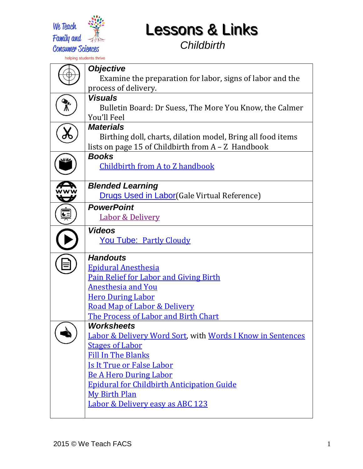

*Childbirth*

|                      | <b>Objective</b>                                                            |
|----------------------|-----------------------------------------------------------------------------|
|                      | Examine the preparation for labor, signs of labor and the                   |
|                      | process of delivery.                                                        |
|                      | <b>Visuals</b>                                                              |
|                      | Bulletin Board: Dr Suess, The More You Know, the Calmer                     |
|                      | You'll Feel                                                                 |
|                      | <b>Materials</b>                                                            |
|                      | Birthing doll, charts, dilation model, Bring all food items                 |
|                      | lists on page 15 of Childbirth from A - Z Handbook                          |
|                      | <b>Books</b>                                                                |
|                      | Childbirth from A to Z handbook                                             |
|                      |                                                                             |
|                      | <b>Blended Learning</b>                                                     |
|                      | <b>Drugs Used in Labor</b> (Gale Virtual Reference)                         |
| $\frac{1}{\sqrt{2}}$ | <b>PowerPoint</b>                                                           |
|                      | <b>Labor &amp; Delivery</b>                                                 |
|                      | <b>Videos</b>                                                               |
|                      | <b>You Tube: Partly Cloudy</b>                                              |
|                      |                                                                             |
|                      | <b>Handouts</b>                                                             |
|                      | <b>Epidural Anesthesia</b><br><b>Pain Relief for Labor and Giving Birth</b> |
|                      | <b>Anesthesia and You</b>                                                   |
|                      | <b>Hero During Labor</b>                                                    |
|                      | Road Map of Labor & Delivery                                                |
|                      | The Process of Labor and Birth Chart                                        |
|                      | <b>Worksheets</b>                                                           |
|                      | <b>Labor &amp; Delivery Word Sort, with Words I Know in Sentences</b>       |
|                      | <b>Stages of Labor</b>                                                      |
|                      | <b>Fill In The Blanks</b>                                                   |
|                      | <b>Is It True or False Labor</b>                                            |
|                      | <b>Be A Hero During Labor</b>                                               |
|                      | <b>Epidural for Childbirth Anticipation Guide</b>                           |
|                      | <b>My Birth Plan</b>                                                        |
|                      | <b>Labor &amp; Delivery easy as ABC 123</b>                                 |
|                      |                                                                             |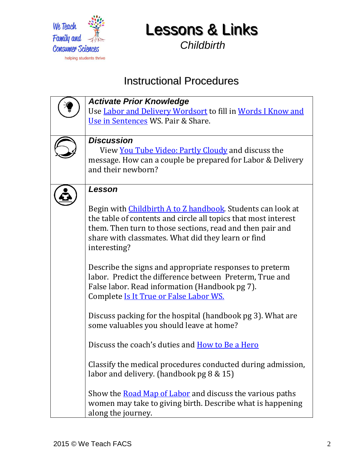

*Childbirth*

## Instructional Procedures

| <b>Activate Prior Knowledge</b>                                     |
|---------------------------------------------------------------------|
| Use Labor and Delivery Wordsort to fill in Words I Know and         |
| Use in Sentences WS. Pair & Share.                                  |
|                                                                     |
| <b>Discussion</b>                                                   |
| View You Tube Video: Partly Cloudy and discuss the                  |
| message. How can a couple be prepared for Labor & Delivery          |
| and their newborn?                                                  |
|                                                                     |
| Lesson                                                              |
|                                                                     |
|                                                                     |
| Begin with <i>Childbirth A to Z handbook</i> . Students can look at |
| the table of contents and circle all topics that most interest      |
| them. Then turn to those sections, read and then pair and           |
| share with classmates. What did they learn or find                  |
| interesting?                                                        |
|                                                                     |
| Describe the signs and appropriate responses to preterm             |
| labor. Predict the difference between Preterm, True and             |
| False labor. Read information (Handbook pg 7).                      |
| Complete Is It True or False Labor WS.                              |
|                                                                     |
| Discuss packing for the hospital (handbook pg 3). What are          |
| some valuables you should leave at home?                            |
|                                                                     |
| Discuss the coach's duties and How to Be a Hero                     |
|                                                                     |
| Classify the medical procedures conducted during admission,         |
| labor and delivery. (handbook $pg 8 \& 15$ )                        |
|                                                                     |
| Show the Road Map of Labor and discuss the various paths            |
| women may take to giving birth. Describe what is happening          |
| along the journey.                                                  |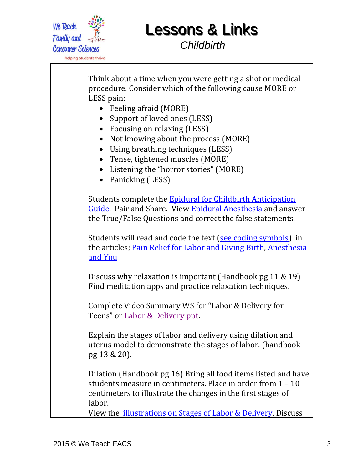

*Childbirth*

Think about a time when you were getting a shot or medical procedure. Consider which of the following cause MORE or LESS pain: • Feeling afraid (MORE) • Support of loved ones (LESS) • Focusing on relaxing (LESS) • Not knowing about the process (MORE) Using breathing techniques (LESS) • Tense, tightened muscles (MORE) • Listening the "horror stories" (MORE) • Panicking (LESS) Students complete the [Epidural for Childbirth Anticipation](https://drive.google.com/file/d/0B7E2D6ektrSHM190RFJrZjJnQTg/view?usp=sharing)  [Guide.](https://drive.google.com/file/d/0B7E2D6ektrSHM190RFJrZjJnQTg/view?usp=sharing) Pair and Share. View [Epidural Anesthesia](http://iuhealth.org/images/blo-doc-upl/EpiduralAnesthesiaForChildbirth.pdf) and answer the True/False Questions and correct the false statements. Students will read and code the text [\(see coding symbols\)](https://drive.google.com/file/d/0B80kmTlC9eimS2trZWxLLXhpUVU/view?usp=sharing) in the articles; [Pain Relief for Labor and Giving Birth,](http://www.cw.bc.ca/library/pdf/pamphlets/bcw923_painreliefinlabour_2013.pdf) [Anesthesia](http://www.wehealny.org/services/BI_Anesthesiology/labordelivery.pdf)  [and You](http://www.wehealny.org/services/BI_Anesthesiology/labordelivery.pdf) Discuss why relaxation is important (Handbook pg 11 & 19) Find meditation apps and practice relaxation techniques. Complete Video Summary WS for "Labor & Delivery for Teens" or [Labor & Delivery ppt.](https://docs.google.com/presentation/d/14_V9LkCD7UowFqiGaIHLbKWhj0frXonHFdy8tnPYncc/edit?usp=sharing) Explain the stages of labor and delivery using dilation and uterus model to demonstrate the stages of labor. (handbook pg 13 & 20). Dilation (Handbook pg 16) Bring all food items listed and have students measure in centimeters. Place in order from 1 – 10 centimeters to illustrate the changes in the first stages of labor. View the *illustrations on Stages of Labor & Delivery*. Discuss